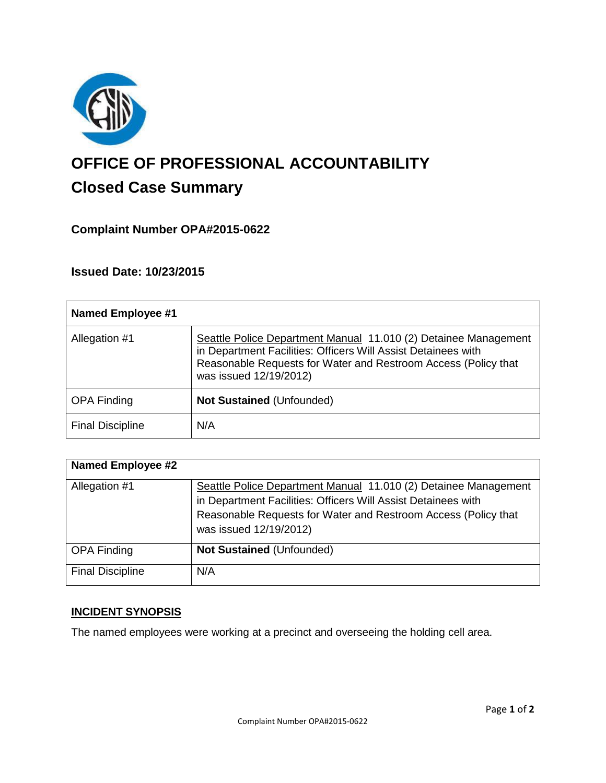

# **OFFICE OF PROFESSIONAL ACCOUNTABILITY Closed Case Summary**

# **Complaint Number OPA#2015-0622**

**Issued Date: 10/23/2015**

| <b>Named Employee #1</b> |                                                                                                                                                                                                                              |
|--------------------------|------------------------------------------------------------------------------------------------------------------------------------------------------------------------------------------------------------------------------|
| Allegation #1            | Seattle Police Department Manual 11.010 (2) Detainee Management<br>in Department Facilities: Officers Will Assist Detainees with<br>Reasonable Requests for Water and Restroom Access (Policy that<br>was issued 12/19/2012) |
| <b>OPA Finding</b>       | <b>Not Sustained (Unfounded)</b>                                                                                                                                                                                             |
| <b>Final Discipline</b>  | N/A                                                                                                                                                                                                                          |

| <b>Named Employee #2</b> |                                                                                                                                                                                                                              |
|--------------------------|------------------------------------------------------------------------------------------------------------------------------------------------------------------------------------------------------------------------------|
| Allegation #1            | Seattle Police Department Manual 11.010 (2) Detainee Management<br>in Department Facilities: Officers Will Assist Detainees with<br>Reasonable Requests for Water and Restroom Access (Policy that<br>was issued 12/19/2012) |
| <b>OPA Finding</b>       | <b>Not Sustained (Unfounded)</b>                                                                                                                                                                                             |
| <b>Final Discipline</b>  | N/A                                                                                                                                                                                                                          |

# **INCIDENT SYNOPSIS**

The named employees were working at a precinct and overseeing the holding cell area.